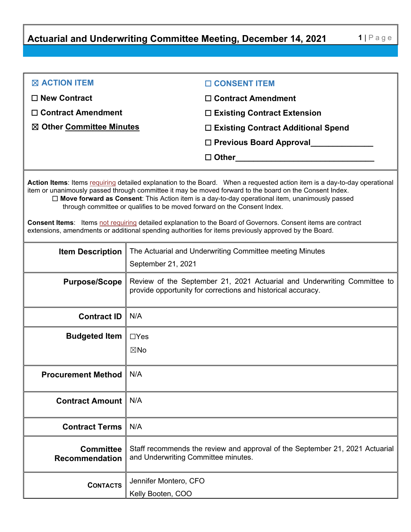**Actuarial and Underwriting Committee Meeting, December 14, 2021 1** | Page

| $\boxtimes$ ACTION ITEM   | □ CONSENT ITEM                       |
|---------------------------|--------------------------------------|
| $\Box$ New Contract       | $\Box$ Contract Amendment            |
| $\Box$ Contract Amendment | $\Box$ Existing Contract Extension   |
| ⊠ Other Committee Minutes | □ Existing Contract Additional Spend |
|                           | $\Box$ Previous Board Approval       |
|                           | $\Box$ Other                         |
|                           |                                      |

Action Items: Items requiring detailed explanation to the Board. When a requested action item is a day-to-day operational item or unanimously passed through committee it may be moved forward to the board on the Consent Index. ☐ **Move forward as Consent**: This Action item is a day-to-day operational item, unanimously passed through committee or qualifies to be moved forward on the Consent Index.

**Consent Items**: Items not requiring detailed explanation to the Board of Governors. Consent items are contract extensions, amendments or additional spending authorities for items previously approved by the Board.

| <b>Item Description</b>                   | The Actuarial and Underwriting Committee meeting Minutes<br>September 21, 2021                                                           |
|-------------------------------------------|------------------------------------------------------------------------------------------------------------------------------------------|
| <b>Purpose/Scope</b>                      | Review of the September 21, 2021 Actuarial and Underwriting Committee to<br>provide opportunity for corrections and historical accuracy. |
| <b>Contract ID</b>                        | N/A                                                                                                                                      |
| <b>Budgeted Item</b>                      | $\Box$ Yes<br>$\boxtimes$ No                                                                                                             |
| <b>Procurement Method</b>                 | N/A                                                                                                                                      |
| <b>Contract Amount</b>                    | N/A                                                                                                                                      |
| <b>Contract Terms</b>                     | N/A                                                                                                                                      |
| <b>Committee</b><br><b>Recommendation</b> | Staff recommends the review and approval of the September 21, 2021 Actuarial<br>and Underwriting Committee minutes.                      |
| <b>CONTACTS</b>                           | Jennifer Montero, CFO<br>Kelly Booten, COO                                                                                               |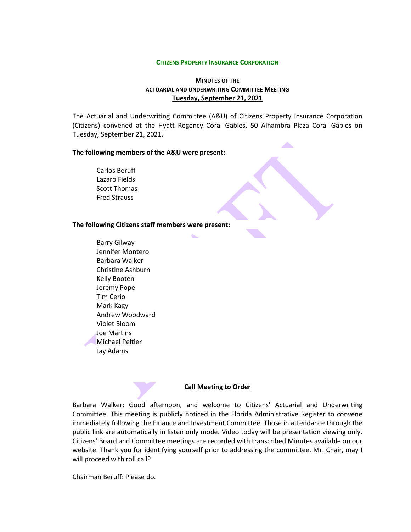#### **CITIZENS PROPERTY INSURANCE CORPORATION**

## **MINUTES OF THE ACTUARIAL AND UNDERWRITING COMMITTEE MEETING Tuesday, September 21, 2021**

The Actuarial and Underwriting Committee (A&U) of Citizens Property Insurance Corporation (Citizens) convened at the Hyatt Regency Coral Gables, 50 Alhambra Plaza Coral Gables on Tuesday, September 21, 2021.

 $\mathcal{L}$ 

### **The following members of the A&U were present:**

Carlos Beruff Lazaro Fields Scott Thomas Fred Strauss

### **The following Citizens staff members were present:**

Barry Gilway Jennifer Montero Barbara Walker Christine Ashburn Kelly Booten Jeremy Pope Tim Cerio Mark Kagy Andrew Woodward Violet Bloom Joe Martins Michael Peltier Jay Adams

### **Call Meeting to Order**

Barbara Walker: Good afternoon, and welcome to Citizens' Actuarial and Underwriting Committee. This meeting is publicly noticed in the Florida Administrative Register to convene immediately following the Finance and Investment Committee. Those in attendance through the public link are automatically in listen only mode. Video today will be presentation viewing only. Citizens' Board and Committee meetings are recorded with transcribed Minutes available on our website. Thank you for identifying yourself prior to addressing the committee. Mr. Chair, may I will proceed with roll call?

Chairman Beruff: Please do.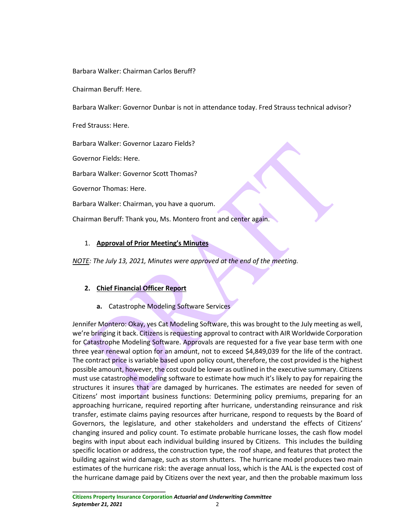Barbara Walker: Chairman Carlos Beruff?

Chairman Beruff: Here.

Barbara Walker: Governor Dunbar is not in attendance today. Fred Strauss technical advisor?

Fred Strauss: Here.

Barbara Walker: Governor Lazaro Fields?

Governor Fields: Here.

Barbara Walker: Governor Scott Thomas?

Governor Thomas: Here.

Barbara Walker: Chairman, you have a quorum.

Chairman Beruff: Thank you, Ms. Montero front and center again.

## 1. **Approval of Prior Meeting's Minutes**

*NOTE: The July 13, 2021, Minutes were approved at the end of the meeting.* 

## **2. Chief Financial Officer Report**

**a.** Catastrophe Modeling Software Services

Jennifer Montero: Okay, yes Cat Modeling Software, this was brought to the July meeting as well, we're bringing it back. Citizens is requesting approval to contract with AIR Worldwide Corporation for Catastrophe Modeling Software. Approvals are requested for a five year base term with one three year renewal option for an amount, not to exceed \$4,849,039 for the life of the contract. The contract price is variable based upon policy count, therefore, the cost provided is the highest possible amount, however, the cost could be lower as outlined in the executive summary. Citizens must use catastrophe modeling software to estimate how much it's likely to pay for repairing the structures it insures that are damaged by hurricanes. The estimates are needed for seven of Citizens' most important business functions: Determining policy premiums, preparing for an approaching hurricane, required reporting after hurricane, understanding reinsurance and risk transfer, estimate claims paying resources after hurricane, respond to requests by the Board of Governors, the legislature, and other stakeholders and understand the effects of Citizens' changing insured and policy count. To estimate probable hurricane losses, the cash flow model begins with input about each individual building insured by Citizens. This includes the building specific location or address, the construction type, the roof shape, and features that protect the building against wind damage, such as storm shutters. The hurricane model produces two main estimates of the hurricane risk: the average annual loss, which is the AAL is the expected cost of the hurricane damage paid by Citizens over the next year, and then the probable maximum loss

**\_\_\_\_\_\_\_\_\_\_\_\_\_\_\_\_\_\_\_\_\_\_\_\_\_\_\_\_\_\_\_**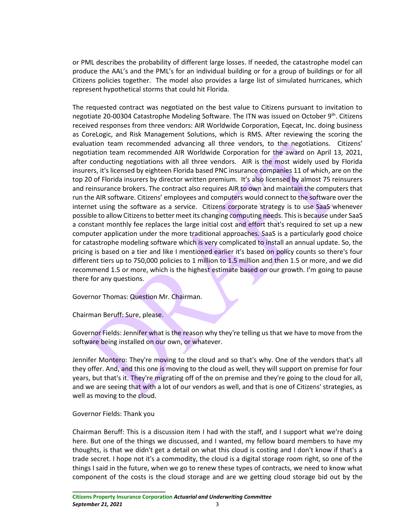or PML describes the probability of different large losses. If needed, the catastrophe model can produce the AAL's and the PML's for an individual building or for a group of buildings or for all Citizens policies together. The model also provides a large list of simulated hurricanes, which represent hypothetical storms that could hit Florida.

The requested contract was negotiated on the best value to Citizens pursuant to invitation to negotiate 20-00304 Catastrophe Modeling Software. The ITN was issued on October 9<sup>th</sup>. Citizens received responses from three vendors: AIR Worldwide Corporation, Eqecat, Inc. doing business as CoreLogic, and Risk Management Solutions, which is RMS. After reviewing the scoring the evaluation team recommended advancing all three vendors, to the negotiations. Citizens' negotiation team recommended AIR Worldwide Corporation for the award on April 13, 2021, after conducting negotiations with all three vendors. AIR is the most widely used by Florida insurers, it's licensed by eighteen Florida based PNC insurance companies 11 of which, are on the top 20 of Florida insurers by director written premium. It's also licensed by almost 75 reinsurers and reinsurance brokers. The contract also requires AIR to own and maintain the computers that run the AIR software. Citizens' employees and computers would connect to the software over the internet using the software as a service. Citizens corporate strategy is to use SaaS whenever possible to allow Citizensto better meet its changing computing needs. This is because under SaaS a constant monthly fee replaces the large initial cost and effort that's required to set up a new computer application under the more traditional approaches. SaaS is a particularly good choice for catastrophe modeling software which is very complicated to install an annual update. So, the pricing is based on a tier and like I mentioned earlier it's based on policy counts so there's four different tiers up to 750,000 policies to 1 million to 1.5 million and then 1.5 or more, and we did recommend 1.5 or more, which is the highest estimate based on our growth. I'm going to pause there for any questions.

Governor Thomas: Question Mr. Chairman.

Chairman Beruff: Sure, please.

Governor Fields: Jennifer what is the reason why they're telling us that we have to move from the software being installed on our own, or whatever.

Jennifer Montero: They're moving to the cloud and so that's why. One of the vendors that's all they offer. And, and this one is moving to the cloud as well, they will support on premise for four years, but that's it. They're migrating off of the on premise and they're going to the cloud for all, and we are seeing that with a lot of our vendors as well, and that is one of Citizens' strategies, as well as moving to the cloud.

### Governor Fields: Thank you

**\_\_\_\_\_\_\_\_\_\_\_\_\_\_\_\_\_\_\_\_\_\_\_\_\_\_\_\_\_\_\_**

Chairman Beruff: This is a discussion item I had with the staff, and I support what we're doing here. But one of the things we discussed, and I wanted, my fellow board members to have my thoughts, is that we didn't get a detail on what this cloud is costing and I don't know if that's a trade secret. I hope not it's a commodity, the cloud is a digital storage room right, so one of the things I said in the future, when we go to renew these types of contracts, we need to know what component of the costs is the cloud storage and are we getting cloud storage bid out by the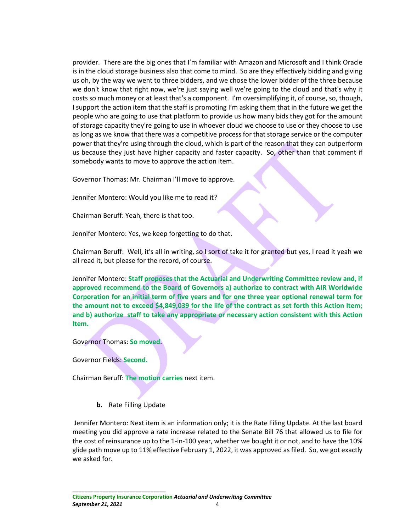provider. There are the big ones that I'm familiar with Amazon and Microsoft and I think Oracle is in the cloud storage business also that come to mind. So are they effectively bidding and giving us oh, by the way we went to three bidders, and we chose the lower bidder of the three because we don't know that right now, we're just saying well we're going to the cloud and that's why it costs so much money or at least that's a component. I'm oversimplifying it, of course, so, though, I support the action item that the staff is promoting I'm asking them that in the future we get the people who are going to use that platform to provide us how many bids they got for the amount of storage capacity they're going to use in whoever cloud we choose to use or they choose to use as long as we know that there was a competitive process for that storage service or the computer power that they're using through the cloud, which is part of the reason that they can outperform us because they just have higher capacity and faster capacity. So, other than that comment if somebody wants to move to approve the action item.

Governor Thomas: Mr. Chairman I'll move to approve.

Jennifer Montero: Would you like me to read it?

Chairman Beruff: Yeah, there is that too.

Jennifer Montero: Yes, we keep forgetting to do that.

Chairman Beruff: Well, it's all in writing, so I sort of take it for granted but yes, I read it yeah we all read it, but please for the record, of course.

Jennifer Montero: **Staff proposes that the Actuarial and Underwriting Committee review and, if approved recommend to the Board of Governors a) authorize to contract with AIR Worldwide Corporation for an initial term of five years and for one three year optional renewal term for the amount not to exceed \$4,849,039 for the life of the contract as set forth this Action Item; and b) authorize staff to take any appropriate or necessary action consistent with this Action Item.**

Governor Thomas: **So moved**.

Governor Fields: **Second.**

Chairman Beruff: **The motion carries** next item.

**b.** Rate Filling Update

Jennifer Montero: Next item is an information only; it is the Rate Filing Update. At the last board meeting you did approve a rate increase related to the Senate Bill 76 that allowed us to file for the cost of reinsurance up to the 1-in-100 year, whether we bought it or not, and to have the 10% glide path move up to 11% effective February 1, 2022, it was approved as filed. So, we got exactly we asked for.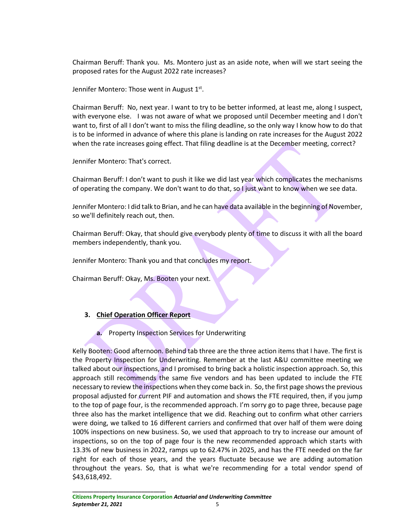Chairman Beruff: Thank you. Ms. Montero just as an aside note, when will we start seeing the proposed rates for the August 2022 rate increases?

Jennifer Montero: Those went in August  $1<sup>st</sup>$ .

Chairman Beruff: No, next year. I want to try to be better informed, at least me, along I suspect, with everyone else. I was not aware of what we proposed until December meeting and I don't want to, first of all I don't want to miss the filing deadline, so the only way I know how to do that is to be informed in advance of where this plane is landing on rate increases for the August 2022 when the rate increases going effect. That filing deadline is at the December meeting, correct?

Jennifer Montero: That's correct.

Chairman Beruff: I don't want to push it like we did last year which complicates the mechanisms of operating the company. We don't want to do that, so I just want to know when we see data.

Jennifer Montero: I did talk to Brian, and he can have data available in the beginning of November, so we'll definitely reach out, then.

Chairman Beruff: Okay, that should give everybody plenty of time to discuss it with all the board members independently, thank you.

Jennifer Montero: Thank you and that concludes my report.

Chairman Beruff: Okay, Ms. Booten your next.

# **3. Chief Operation Officer Report**

**a.** Property Inspection Services for Underwriting

Kelly Booten: Good afternoon. Behind tab three are the three action items that I have. The first is the Property Inspection for Underwriting. Remember at the last A&U committee meeting we talked about our inspections, and I promised to bring back a holistic inspection approach. So, this approach still recommends the same five vendors and has been updated to include the FTE necessary to review the inspections when they come back in. So, the first page shows the previous proposal adjusted for current PIF and automation and shows the FTE required, then, if you jump to the top of page four, is the recommended approach. I'm sorry go to page three, because page three also has the market intelligence that we did. Reaching out to confirm what other carriers were doing, we talked to 16 different carriers and confirmed that over half of them were doing 100% inspections on new business. So, we used that approach to try to increase our amount of inspections, so on the top of page four is the new recommended approach which starts with 13.3% of new business in 2022, ramps up to 62.47% in 2025, and has the FTE needed on the far right for each of those years, and the years fluctuate because we are adding automation throughout the years. So, that is what we're recommending for a total vendor spend of \$43,618,492.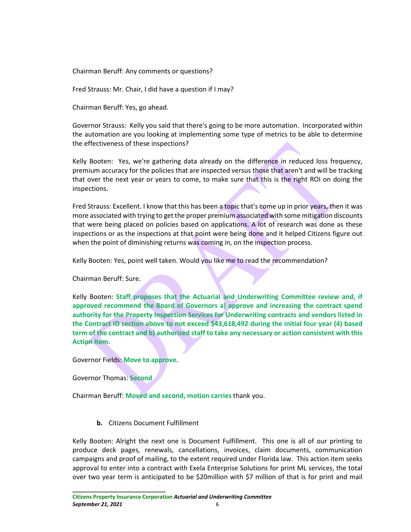Chairman Beruff: Any comments or questions?

Fred Strauss: Mr. Chair, I did have a question if I may?

Chairman Beruff: Yes, go ahead.

Governor Strauss: Kelly you said that there's going to be more automation. Incorporated within the automation are you looking at implementing some type of metrics to be able to determine the effectiveness of these inspections?

Kelly Booten: Yes, we're gathering data already on the difference in reduced loss frequency, premium accuracy for the policies that are inspected versus those that aren't and will be tracking that over the next year or years to come, to make sure that this is the right ROI on doing the inspections.

Fred Strauss: Excellent. I know that this has been a topic that's come up in prior years, then it was more associated with trying to get the proper premium associated with some mitigation discounts that were being placed on policies based on applications. A lot of research was done as these inspections or as the inspections at that point were being done and it helped Citizens figure out when the point of diminishing returns was coming in, on the inspection process.

Kelly Booten: Yes, point well taken. Would you like me to read the recommendation?

Chairman Beruff: Sure.

Kelly Booten: **Staff proposes that the Actuarial and Underwriting Committee review and, if approved recommend the Board of Governors a) approve and increasing the contract spend authority for the Property Inspection Services for Underwriting contracts and vendors listed in the Contract ID section above to not exceed \$43,618,492 during the initial four year (4) based term of the contract and b) authorized staff to take any necessary or action consistent with this Action Item.**

Governor Fields: **Move to approve**.

Governor Thomas: **Second** 

**\_\_\_\_\_\_\_\_\_\_\_\_\_\_\_\_\_\_\_\_\_\_\_\_\_\_\_\_\_\_\_**

Chairman Beruff: **Moved and second, motion carries** thank you.

**b.** Citizens Document Fulfillment

Kelly Booten: Alright the next one is Document Fulfillment. This one is all of our printing to produce deck pages, renewals, cancellations, invoices, claim documents, communication campaigns and proof of mailing, to the extent required under Florida law. This action item seeks approval to enter into a contract with Exela Enterprise Solutions for print ML services, the total over two year term is anticipated to be \$20million with \$7 million of that is for print and mail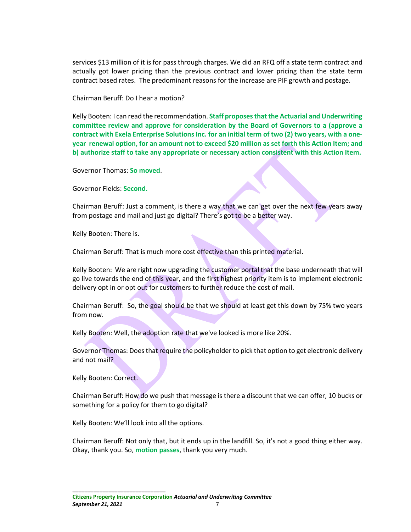services \$13 million of it is for pass through charges. We did an RFQ off a state term contract and actually got lower pricing than the previous contract and lower pricing than the state term contract based rates. The predominant reasons for the increase are PIF growth and postage.

Chairman Beruff: Do I hear a motion?

Kelly Booten: I can read the recommendation. **Staff proposes that the Actuarial and Underwriting committee review and approve for consideration by the Board of Governors to a (approve a contract with Exela Enterprise Solutions Inc. for an initial term of two (2) two years, with a oneyear renewal option, for an amount not to exceed \$20 million as set forth this Action Item; and b( authorize staff to take any appropriate or necessary action consistent with this Action Item.** 

Governor Thomas: **So moved**.

Governor Fields: **Second.**

Chairman Beruff: Just a comment, is there a way that we can get over the next few years away from postage and mail and just go digital? There's got to be a better way.

Kelly Booten: There is.

Chairman Beruff: That is much more cost effective than this printed material.

Kelly Booten: We are right now upgrading the customer portal that the base underneath that will go live towards the end of this year, and the first highest priority item is to implement electronic delivery opt in or opt out for customers to further reduce the cost of mail.

Chairman Beruff: So, the goal should be that we should at least get this down by 75% two years from now.

Kelly Booten: Well, the adoption rate that we've looked is more like 20%.

Governor Thomas: Does that require the policyholder to pick that option to get electronic delivery and not mail?

Kelly Booten: Correct.

Chairman Beruff: How do we push that message is there a discount that we can offer, 10 bucks or something for a policy for them to go digital?

Kelly Booten: We'll look into all the options.

**\_\_\_\_\_\_\_\_\_\_\_\_\_\_\_\_\_\_\_\_\_\_\_\_\_\_\_\_\_\_\_**

Chairman Beruff: Not only that, but it ends up in the landfill. So, it's not a good thing either way. Okay, thank you. So, **motion passes**, thank you very much.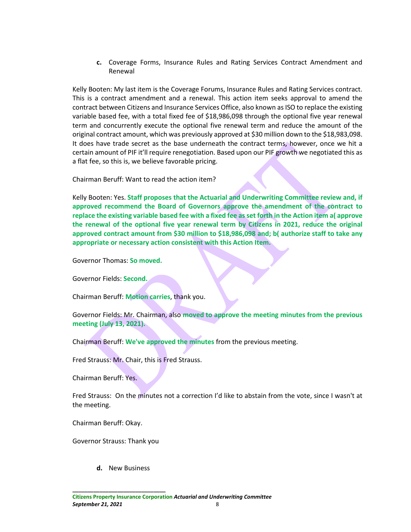**c.** Coverage Forms, Insurance Rules and Rating Services Contract Amendment and Renewal

Kelly Booten: My last item is the Coverage Forums, Insurance Rules and Rating Services contract. This is a contract amendment and a renewal. This action item seeks approval to amend the contract between Citizens and Insurance Services Office, also known as ISO to replace the existing variable based fee, with a total fixed fee of \$18,986,098 through the optional five year renewal term and concurrently execute the optional five renewal term and reduce the amount of the original contract amount, which was previously approved at \$30 million down to the \$18,983,098. It does have trade secret as the base underneath the contract terms, however, once we hit a certain amount of PIF it'll require renegotiation. Based upon our PIF growth we negotiated this as a flat fee, so this is, we believe favorable pricing.

Chairman Beruff: Want to read the action item?

Kelly Booten: Yes. **Staff proposes that the Actuarial and Underwriting Committee review and, if approved recommend the Board of Governors approve the amendment of the contract to replace the existing variable based fee with a fixed fee as set forth in the Action item a( approve the renewal of the optional five year renewal term by Citizens in 2021, reduce the original approved contract amount from \$30 million to \$18,986,098 and; b( authorize staff to take any appropriate or necessary action consistent with this Action Item.**

Governor Thomas: **So moved.**

Governor Fields: **Second.**

Chairman Beruff: **Motion carries**, thank you.

Governor Fields: Mr. Chairman, also **moved to approve the meeting minutes from the previous meeting (July 13, 2021).** 

Chairman Beruff: **We've approved the minutes** from the previous meeting.

Fred Strauss: Mr. Chair, this is Fred Strauss.

Chairman Beruff: Yes.

Fred Strauss: On the minutes not a correction I'd like to abstain from the vote, since I wasn't at the meeting.

Chairman Beruff: Okay.

Governor Strauss: Thank you

**d.** New Business

**\_\_\_\_\_\_\_\_\_\_\_\_\_\_\_\_\_\_\_\_\_\_\_\_\_\_\_\_\_\_\_**

**Citizens Property Insurance Corporation** *Actuarial and Underwriting Committee* **September 21, 2021** 8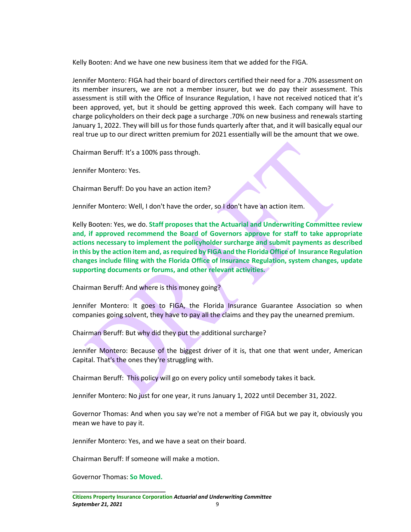Kelly Booten: And we have one new business item that we added for the FIGA.

Jennifer Montero: FIGA had their board of directors certified their need for a .70% assessment on its member insurers, we are not a member insurer, but we do pay their assessment. This assessment is still with the Office of Insurance Regulation, I have not received noticed that it's been approved, yet, but it should be getting approved this week. Each company will have to charge policyholders on their deck page a surcharge .70% on new business and renewals starting January 1, 2022. They will bill us for those funds quarterly after that, and it will basically equal our real true up to our direct written premium for 2021 essentially will be the amount that we owe.

Chairman Beruff: It's a 100% pass through.

Jennifer Montero: Yes.

Chairman Beruff: Do you have an action item?

Jennifer Montero: Well, I don't have the order, so I don't have an action item.

Kelly Booten: Yes, we do. **Staff proposes that the Actuarial and Underwriting Committee review and, if approved recommend the Board of Governors approve for staff to take appropriate actions necessary to implement the policyholder surcharge and submit payments as described in this by the action item and, as required by FIGA and the Florida Office of Insurance Regulation changes include filing with the Florida Office of Insurance Regulation, system changes, update supporting documents or forums, and other relevant activities.**

Chairman Beruff: And where is this money going?

Jennifer Montero: It goes to FIGA, the Florida Insurance Guarantee Association so when companies going solvent, they have to pay all the claims and they pay the unearned premium.

Chairman Beruff: But why did they put the additional surcharge?

Jennifer Montero: Because of the biggest driver of it is, that one that went under, American Capital. That's the ones they're struggling with.

Chairman Beruff: This policy will go on every policy until somebody takes it back.

Jennifer Montero: No just for one year, it runs January 1, 2022 until December 31, 2022.

Governor Thomas: And when you say we're not a member of FIGA but we pay it, obviously you mean we have to pay it.

Jennifer Montero: Yes, and we have a seat on their board.

Chairman Beruff: If someone will make a motion.

**\_\_\_\_\_\_\_\_\_\_\_\_\_\_\_\_\_\_\_\_\_\_\_\_\_\_\_\_\_\_\_** Governor Thomas: **So Moved.**

**Citizens Property Insurance Corporation** *Actuarial and Underwriting Committee* **September 21, 2021** 9